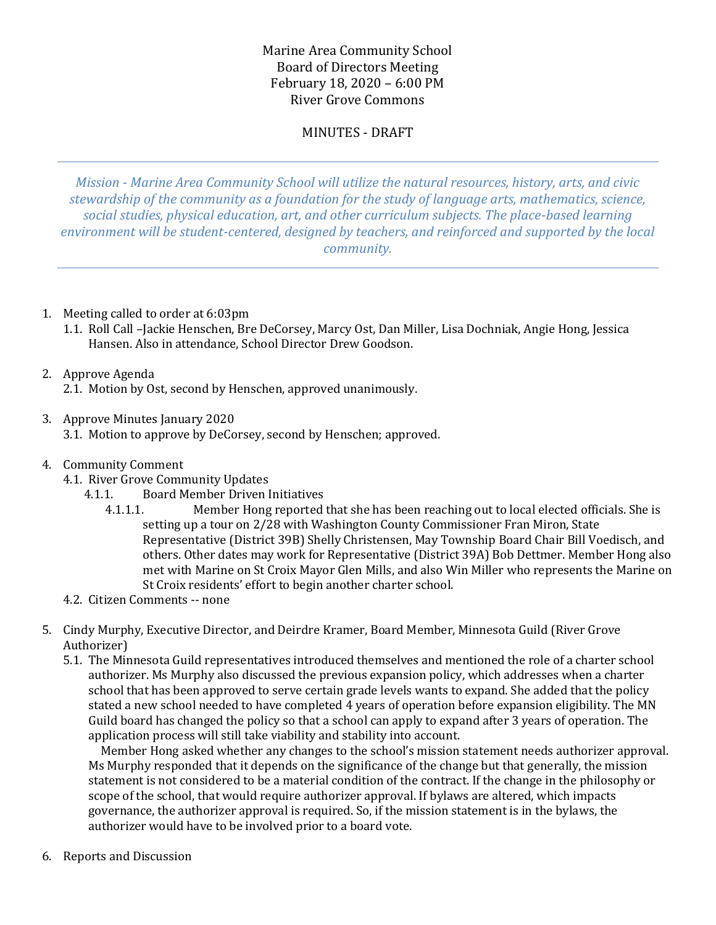# Marine Area Community School Board of Directors Meeting February 18, 2020 – 6:00 PM River Grove Commons

# MINUTES - DRAFT

*Mission - Marine Area Community School will utilize the natural resources, history, arts, and civic stewardship of the community as a foundation for the study of language arts, mathematics, science, social studies, physical education, art, and other curriculum subjects. The place-based learning environment will be student-centered, designed by teachers, and reinforced and supported by the local community.*

- 1. Meeting called to order at 6:03pm
	- 1.1. Roll Call –Jackie Henschen, Bre DeCorsey, Marcy Ost, Dan Miller, Lisa Dochniak, Angie Hong, Jessica Hansen. Also in attendance, School Director Drew Goodson.

# 2. Approve Agenda

2.1. Motion by Ost, second by Henschen, approved unanimously.

3. Approve Minutes January 2020

3.1. Motion to approve by DeCorsey, second by Henschen; approved.

- 4. Community Comment
	- 4.1. River Grove Community Updates
		- 4.1.1. Board Member Driven Initiatives
			- 4.1.1.1. Member Hong reported that she has been reaching out to local elected officials. She is setting up a tour on 2/28 with Washington County Commissioner Fran Miron, State Representative (District 39B) Shelly Christensen, May Township Board Chair Bill Voedisch, and others. Other dates may work for Representative (District 39A) Bob Dettmer. Member Hong also met with Marine on St Croix Mayor Glen Mills, and also Win Miller who represents the Marine on St Croix residents' effort to begin another charter school.
	- 4.2. Citizen Comments -- none
- 5. Cindy Murphy, Executive Director, and Deirdre Kramer, Board Member, Minnesota Guild (River Grove Authorizer)
	- 5.1. The Minnesota Guild representatives introduced themselves and mentioned the role of a charter school authorizer. Ms Murphy also discussed the previous expansion policy, which addresses when a charter school that has been approved to serve certain grade levels wants to expand. She added that the policy stated a new school needed to have completed 4 years of operation before expansion eligibility. The MN Guild board has changed the policy so that a school can apply to expand after 3 years of operation. The application process will still take viability and stability into account.

 Member Hong asked whether any changes to the school's mission statement needs authorizer approval. Ms Murphy responded that it depends on the significance of the change but that generally, the mission statement is not considered to be a material condition of the contract. If the change in the philosophy or scope of the school, that would require authorizer approval. If bylaws are altered, which impacts governance, the authorizer approval is required. So, if the mission statement is in the bylaws, the authorizer would have to be involved prior to a board vote.

6. Reports and Discussion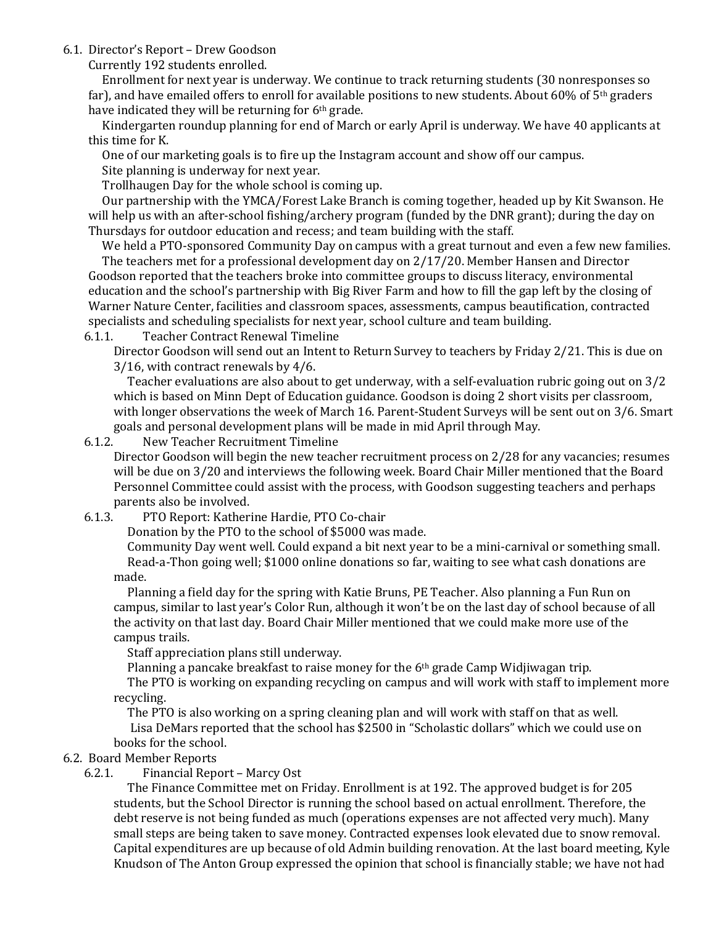6.1. Director's Report – Drew Goodson

Currently 192 students enrolled.

 Enrollment for next year is underway. We continue to track returning students (30 nonresponses so far), and have emailed offers to enroll for available positions to new students. About 60% of  $5<sup>th</sup>$  graders have indicated they will be returning for 6th grade.

 Kindergarten roundup planning for end of March or early April is underway. We have 40 applicants at this time for K.

One of our marketing goals is to fire up the Instagram account and show off our campus.

Site planning is underway for next year.

Trollhaugen Day for the whole school is coming up.

 Our partnership with the YMCA/Forest Lake Branch is coming together, headed up by Kit Swanson. He will help us with an after-school fishing/archery program (funded by the DNR grant); during the day on Thursdays for outdoor education and recess; and team building with the staff.

 We held a PTO-sponsored Community Day on campus with a great turnout and even a few new families. The teachers met for a professional development day on 2/17/20. Member Hansen and Director Goodson reported that the teachers broke into committee groups to discuss literacy, environmental education and the school's partnership with Big River Farm and how to fill the gap left by the closing of Warner Nature Center, facilities and classroom spaces, assessments, campus beautification, contracted specialists and scheduling specialists for next year, school culture and team building.

6.1.1. Teacher Contract Renewal Timeline

Director Goodson will send out an Intent to Return Survey to teachers by Friday 2/21. This is due on 3/16, with contract renewals by 4/6.

 Teacher evaluations are also about to get underway, with a self-evaluation rubric going out on 3/2 which is based on Minn Dept of Education guidance. Goodson is doing 2 short visits per classroom, with longer observations the week of March 16. Parent-Student Surveys will be sent out on 3/6. Smart goals and personal development plans will be made in mid April through May.

## 6.1.2. New Teacher Recruitment Timeline

Director Goodson will begin the new teacher recruitment process on 2/28 for any vacancies; resumes will be due on 3/20 and interviews the following week. Board Chair Miller mentioned that the Board Personnel Committee could assist with the process, with Goodson suggesting teachers and perhaps parents also be involved.

6.1.3. PTO Report: Katherine Hardie, PTO Co-chair

Donation by the PTO to the school of \$5000 was made.

 Community Day went well. Could expand a bit next year to be a mini-carnival or something small. Read-a-Thon going well; \$1000 online donations so far, waiting to see what cash donations are made.

 Planning a field day for the spring with Katie Bruns, PE Teacher. Also planning a Fun Run on campus, similar to last year's Color Run, although it won't be on the last day of school because of all the activity on that last day. Board Chair Miller mentioned that we could make more use of the campus trails.

Staff appreciation plans still underway.

Planning a pancake breakfast to raise money for the 6th grade Camp Widjiwagan trip.

 The PTO is working on expanding recycling on campus and will work with staff to implement more recycling.

 The PTO is also working on a spring cleaning plan and will work with staff on that as well. Lisa DeMars reported that the school has \$2500 in "Scholastic dollars" which we could use on books for the school.

## 6.2. Board Member Reports

## 6.2.1. Financial Report – Marcy Ost

 The Finance Committee met on Friday. Enrollment is at 192. The approved budget is for 205 students, but the School Director is running the school based on actual enrollment. Therefore, the debt reserve is not being funded as much (operations expenses are not affected very much). Many small steps are being taken to save money. Contracted expenses look elevated due to snow removal. Capital expenditures are up because of old Admin building renovation. At the last board meeting, Kyle Knudson of The Anton Group expressed the opinion that school is financially stable; we have not had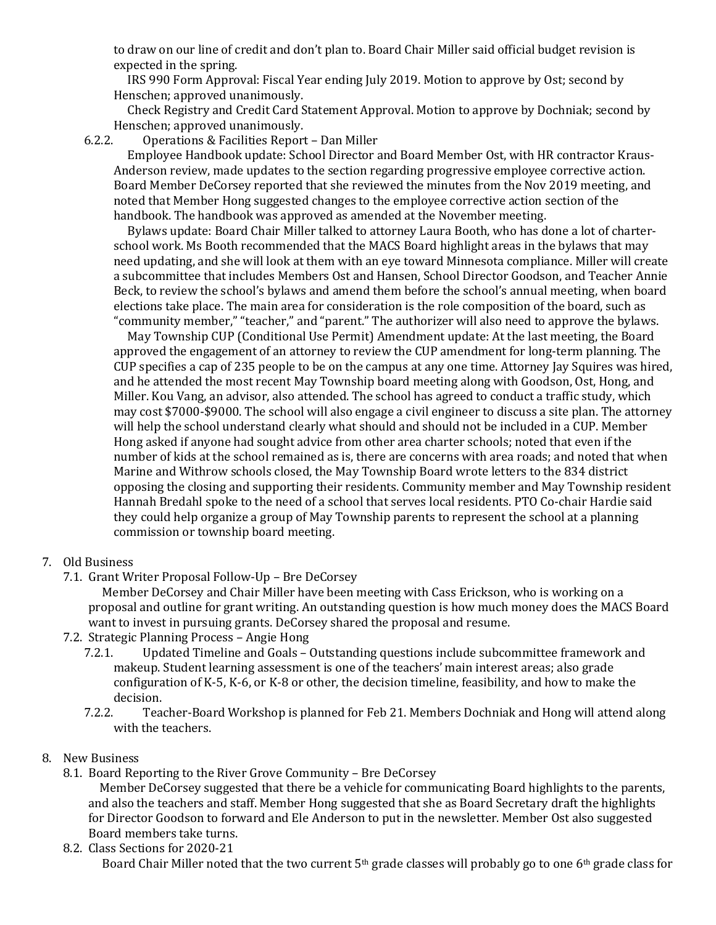to draw on our line of credit and don't plan to. Board Chair Miller said official budget revision is expected in the spring.

 IRS 990 Form Approval: Fiscal Year ending July 2019. Motion to approve by Ost; second by Henschen; approved unanimously.

 Check Registry and Credit Card Statement Approval. Motion to approve by Dochniak; second by Henschen; approved unanimously.

6.2.2. Operations & Facilities Report – Dan Miller

 Employee Handbook update: School Director and Board Member Ost, with HR contractor Kraus-Anderson review, made updates to the section regarding progressive employee corrective action. Board Member DeCorsey reported that she reviewed the minutes from the Nov 2019 meeting, and noted that Member Hong suggested changes to the employee corrective action section of the handbook. The handbook was approved as amended at the November meeting.

 Bylaws update: Board Chair Miller talked to attorney Laura Booth, who has done a lot of charterschool work. Ms Booth recommended that the MACS Board highlight areas in the bylaws that may need updating, and she will look at them with an eye toward Minnesota compliance. Miller will create a subcommittee that includes Members Ost and Hansen, School Director Goodson, and Teacher Annie Beck, to review the school's bylaws and amend them before the school's annual meeting, when board elections take place. The main area for consideration is the role composition of the board, such as "community member," "teacher," and "parent." The authorizer will also need to approve the bylaws.

 May Township CUP (Conditional Use Permit) Amendment update: At the last meeting, the Board approved the engagement of an attorney to review the CUP amendment for long-term planning. The CUP specifies a cap of 235 people to be on the campus at any one time. Attorney Jay Squires was hired, and he attended the most recent May Township board meeting along with Goodson, Ost, Hong, and Miller. Kou Vang, an advisor, also attended. The school has agreed to conduct a traffic study, which may cost \$7000-\$9000. The school will also engage a civil engineer to discuss a site plan. The attorney will help the school understand clearly what should and should not be included in a CUP. Member Hong asked if anyone had sought advice from other area charter schools; noted that even if the number of kids at the school remained as is, there are concerns with area roads; and noted that when Marine and Withrow schools closed, the May Township Board wrote letters to the 834 district opposing the closing and supporting their residents. Community member and May Township resident Hannah Bredahl spoke to the need of a school that serves local residents. PTO Co-chair Hardie said they could help organize a group of May Township parents to represent the school at a planning commission or township board meeting.

#### 7. Old Business

7.1. Grant Writer Proposal Follow-Up – Bre DeCorsey

 Member DeCorsey and Chair Miller have been meeting with Cass Erickson, who is working on a proposal and outline for grant writing. An outstanding question is how much money does the MACS Board want to invest in pursuing grants. DeCorsey shared the proposal and resume.

- 7.2. Strategic Planning Process Angie Hong
	- 7.2.1. Updated Timeline and Goals Outstanding questions include subcommittee framework and makeup. Student learning assessment is one of the teachers' main interest areas; also grade configuration of K-5, K-6, or K-8 or other, the decision timeline, feasibility, and how to make the decision.
	- 7.2.2. Teacher-Board Workshop is planned for Feb 21. Members Dochniak and Hong will attend along with the teachers.

#### 8. New Business

8.1. Board Reporting to the River Grove Community – Bre DeCorsey

 Member DeCorsey suggested that there be a vehicle for communicating Board highlights to the parents, and also the teachers and staff. Member Hong suggested that she as Board Secretary draft the highlights for Director Goodson to forward and Ele Anderson to put in the newsletter. Member Ost also suggested Board members take turns.

8.2. Class Sections for 2020-21

Board Chair Miller noted that the two current 5<sup>th</sup> grade classes will probably go to one 6<sup>th</sup> grade class for